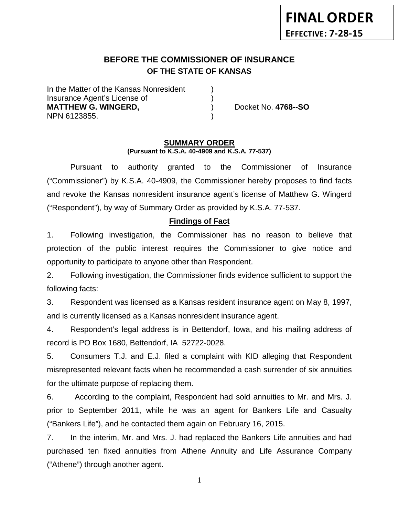# **BEFORE THE COMMISSIONER OF INSURANCE OF THE STATE OF KANSAS**

In the Matter of the Kansas Nonresident Insurance Agent's License of ) **MATTHEW G. WINGERD,** ) Docket No. **4768--SO** NPN 6123855. )

#### **SUMMARY ORDER (Pursuant to K.S.A. 40-4909 and K.S.A. 77-537)**

Pursuant to authority granted to the Commissioner of Insurance ("Commissioner") by K.S.A. 40-4909, the Commissioner hereby proposes to find facts and revoke the Kansas nonresident insurance agent's license of Matthew G. Wingerd ("Respondent"), by way of Summary Order as provided by K.S.A. 77-537.

#### **Findings of Fact**

1. Following investigation, the Commissioner has no reason to believe that protection of the public interest requires the Commissioner to give notice and opportunity to participate to anyone other than Respondent.

2. Following investigation, the Commissioner finds evidence sufficient to support the following facts:

3. Respondent was licensed as a Kansas resident insurance agent on May 8, 1997, and is currently licensed as a Kansas nonresident insurance agent.

4. Respondent's legal address is in Bettendorf, Iowa, and his mailing address of record is PO Box 1680, Bettendorf, IA 52722-0028.

5. Consumers T.J. and E.J. filed a complaint with KID alleging that Respondent misrepresented relevant facts when he recommended a cash surrender of six annuities for the ultimate purpose of replacing them.

6. According to the complaint, Respondent had sold annuities to Mr. and Mrs. J. prior to September 2011, while he was an agent for Bankers Life and Casualty ("Bankers Life"), and he contacted them again on February 16, 2015.

7. In the interim, Mr. and Mrs. J. had replaced the Bankers Life annuities and had purchased ten fixed annuities from Athene Annuity and Life Assurance Company ("Athene") through another agent.

1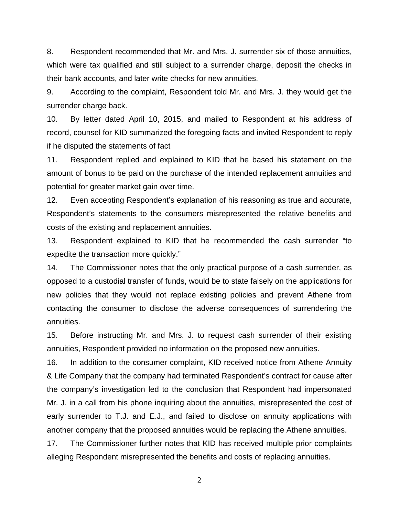8. Respondent recommended that Mr. and Mrs. J. surrender six of those annuities, which were tax qualified and still subject to a surrender charge, deposit the checks in their bank accounts, and later write checks for new annuities.

9. According to the complaint, Respondent told Mr. and Mrs. J. they would get the surrender charge back.

10. By letter dated April 10, 2015, and mailed to Respondent at his address of record, counsel for KID summarized the foregoing facts and invited Respondent to reply if he disputed the statements of fact

11. Respondent replied and explained to KID that he based his statement on the amount of bonus to be paid on the purchase of the intended replacement annuities and potential for greater market gain over time.

12. Even accepting Respondent's explanation of his reasoning as true and accurate, Respondent's statements to the consumers misrepresented the relative benefits and costs of the existing and replacement annuities.

13. Respondent explained to KID that he recommended the cash surrender "to expedite the transaction more quickly."

14. The Commissioner notes that the only practical purpose of a cash surrender, as opposed to a custodial transfer of funds, would be to state falsely on the applications for new policies that they would not replace existing policies and prevent Athene from contacting the consumer to disclose the adverse consequences of surrendering the annuities.

15. Before instructing Mr. and Mrs. J. to request cash surrender of their existing annuities, Respondent provided no information on the proposed new annuities.

16. In addition to the consumer complaint, KID received notice from Athene Annuity & Life Company that the company had terminated Respondent's contract for cause after the company's investigation led to the conclusion that Respondent had impersonated Mr. J. in a call from his phone inquiring about the annuities, misrepresented the cost of early surrender to T.J. and E.J., and failed to disclose on annuity applications with another company that the proposed annuities would be replacing the Athene annuities.

17. The Commissioner further notes that KID has received multiple prior complaints alleging Respondent misrepresented the benefits and costs of replacing annuities.

2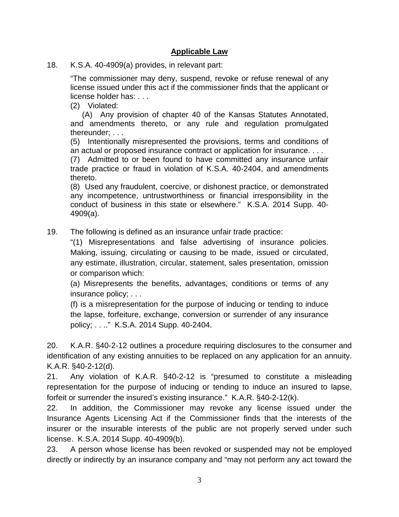### **Applicable Law**

18. K.S.A. 40-4909(a) provides, in relevant part:

"The commissioner may deny, suspend, revoke or refuse renewal of any license issued under this act if the commissioner finds that the applicant or license holder has: . . .

(2) Violated:

(A) Any provision of chapter 40 of the Kansas Statutes Annotated, and amendments thereto, or any rule and regulation promulgated thereunder; . . .

(5) Intentionally misrepresented the provisions, terms and conditions of an actual or proposed insurance contract or application for insurance. . . .

(7) Admitted to or been found to have committed any insurance unfair trade practice or fraud in violation of K.S.A. 40-2404, and amendments thereto.

(8) Used any fraudulent, coercive, or dishonest practice, or demonstrated any incompetence, untrustworthiness or financial irresponsibility in the conduct of business in this state or elsewhere." K.S.A. 2014 Supp. 40- 4909(a).

19. The following is defined as an insurance unfair trade practice:

"(1) Misrepresentations and false advertising of insurance policies. Making, issuing, circulating or causing to be made, issued or circulated, any estimate, illustration, circular, statement, sales presentation, omission or comparison which:

(a) Misrepresents the benefits, advantages, conditions or terms of any insurance policy; . . .

(f) is a misrepresentation for the purpose of inducing or tending to induce the lapse, forfeiture, exchange, conversion or surrender of any insurance policy; . . .." K.S.A. 2014 Supp. 40-2404.

20. K.A.R. §40-2-12 outlines a procedure requiring disclosures to the consumer and identification of any existing annuities to be replaced on any application for an annuity. K.A.R. §40-2-12(d).

21. Any violation of K.A.R. §40-2-12 is "presumed to constitute a misleading representation for the purpose of inducing or tending to induce an insured to lapse, forfeit or surrender the insured's existing insurance." K.A.R. §40-2-12(k).

22. In addition, the Commissioner may revoke any license issued under the Insurance Agents Licensing Act if the Commissioner finds that the interests of the insurer or the insurable interests of the public are not properly served under such license. K.S.A. 2014 Supp. 40-4909(b).

23. A person whose license has been revoked or suspended may not be employed directly or indirectly by an insurance company and "may not perform any act toward the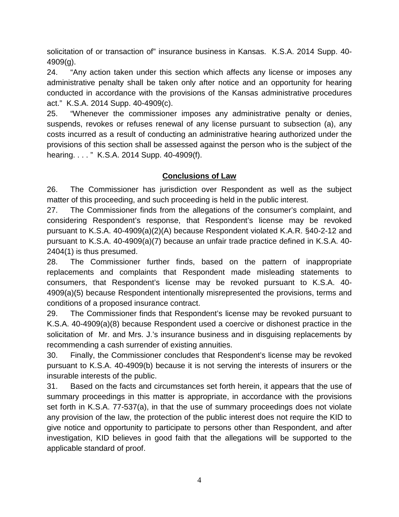solicitation of or transaction of" insurance business in Kansas. K.S.A. 2014 Supp. 40- 4909(g).

24. "Any action taken under this section which affects any license or imposes any administrative penalty shall be taken only after notice and an opportunity for hearing conducted in accordance with the provisions of the Kansas administrative procedures act." K.S.A. 2014 Supp. 40-4909(c).

25. "Whenever the commissioner imposes any administrative penalty or denies, suspends, revokes or refuses renewal of any license pursuant to subsection (a), any costs incurred as a result of conducting an administrative hearing authorized under the provisions of this section shall be assessed against the person who is the subject of the hearing. . . . " K.S.A. 2014 Supp. 40-4909(f).

### **Conclusions of Law**

26. The Commissioner has jurisdiction over Respondent as well as the subject matter of this proceeding, and such proceeding is held in the public interest.

27. The Commissioner finds from the allegations of the consumer's complaint, and considering Respondent's response, that Respondent's license may be revoked pursuant to K.S.A. 40-4909(a)(2)(A) because Respondent violated K.A.R. §40-2-12 and pursuant to K.S.A. 40-4909(a)(7) because an unfair trade practice defined in K.S.A. 40- 2404(1) is thus presumed.

28. The Commissioner further finds, based on the pattern of inappropriate replacements and complaints that Respondent made misleading statements to consumers, that Respondent's license may be revoked pursuant to K.S.A. 40- 4909(a)(5) because Respondent intentionally misrepresented the provisions, terms and conditions of a proposed insurance contract.

29. The Commissioner finds that Respondent's license may be revoked pursuant to K.S.A. 40-4909(a)(8) because Respondent used a coercive or dishonest practice in the solicitation of Mr. and Mrs. J.'s insurance business and in disguising replacements by recommending a cash surrender of existing annuities.

30. Finally, the Commissioner concludes that Respondent's license may be revoked pursuant to K.S.A. 40-4909(b) because it is not serving the interests of insurers or the insurable interests of the public.

31. Based on the facts and circumstances set forth herein, it appears that the use of summary proceedings in this matter is appropriate, in accordance with the provisions set forth in K.S.A. 77-537(a), in that the use of summary proceedings does not violate any provision of the law, the protection of the public interest does not require the KID to give notice and opportunity to participate to persons other than Respondent, and after investigation, KID believes in good faith that the allegations will be supported to the applicable standard of proof.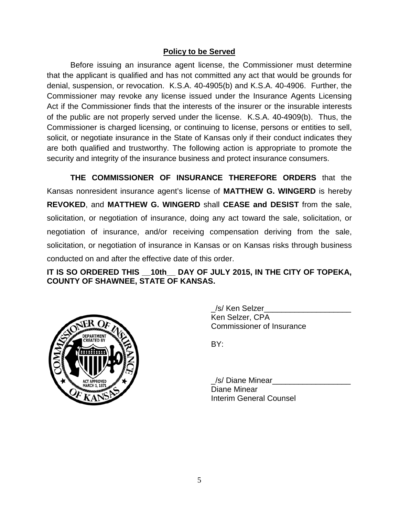### **Policy to be Served**

Before issuing an insurance agent license, the Commissioner must determine that the applicant is qualified and has not committed any act that would be grounds for denial, suspension, or revocation. K.S.A. 40-4905(b) and K.S.A. 40-4906. Further, the Commissioner may revoke any license issued under the Insurance Agents Licensing Act if the Commissioner finds that the interests of the insurer or the insurable interests of the public are not properly served under the license. K.S.A. 40-4909(b). Thus, the Commissioner is charged licensing, or continuing to license, persons or entities to sell, solicit, or negotiate insurance in the State of Kansas only if their conduct indicates they are both qualified and trustworthy. The following action is appropriate to promote the security and integrity of the insurance business and protect insurance consumers.

**THE COMMISSIONER OF INSURANCE THEREFORE ORDERS** that the Kansas nonresident insurance agent's license of **MATTHEW G. WINGERD** is hereby **REVOKED**, and **MATTHEW G. WINGERD** shall **CEASE and DESIST** from the sale, solicitation, or negotiation of insurance, doing any act toward the sale, solicitation, or negotiation of insurance, and/or receiving compensation deriving from the sale, solicitation, or negotiation of insurance in Kansas or on Kansas risks through business conducted on and after the effective date of this order.

## **IT IS SO ORDERED THIS \_\_10th\_\_ DAY OF JULY 2015, IN THE CITY OF TOPEKA, COUNTY OF SHAWNEE, STATE OF KANSAS.**



\_/s/ Ken Selzer\_\_\_\_\_\_\_\_\_\_\_\_\_\_\_\_\_\_\_\_ Ken Selzer, CPA Commissioner of Insurance

BY:

/s/ Diane Minear Diane Minear Interim General Counsel